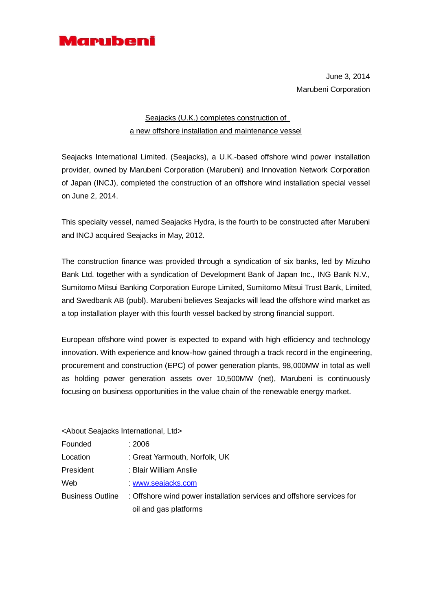

June 3, 2014 Marubeni Corporation

## Seajacks (U.K.) completes construction of a new offshore installation and maintenance vessel

Seajacks International Limited. (Seajacks), a U.K.-based offshore wind power installation provider, owned by Marubeni Corporation (Marubeni) and Innovation Network Corporation of Japan (INCJ), completed the construction of an offshore wind installation special vessel on June 2, 2014.

This specialty vessel, named Seajacks Hydra, is the fourth to be constructed after Marubeni and INCJ acquired Seajacks in May, 2012.

The construction finance was provided through a syndication of six banks, led by Mizuho Bank Ltd. together with a syndication of Development Bank of Japan Inc., ING Bank N.V., Sumitomo Mitsui Banking Corporation Europe Limited, Sumitomo Mitsui Trust Bank, Limited, and Swedbank AB (publ). Marubeni believes Seajacks will lead the offshore wind market as a top installation player with this fourth vessel backed by strong financial support.

European offshore wind power is expected to expand with high efficiency and technology innovation. With experience and know-how gained through a track record in the engineering, procurement and construction (EPC) of power generation plants, 98,000MW in total as well as holding power generation assets over 10,500MW (net), Marubeni is continuously focusing on business opportunities in the value chain of the renewable energy market.

<About Seajacks International, Ltd>

- Founded : 2006
- Location : Great Yarmouth, Norfolk, UK
- President : Blair William Anslie
- Web : [www.seajacks.com](http://www.seajacks.com/)

Business Outline : Offshore wind power installation services and offshore services for oil and gas platforms